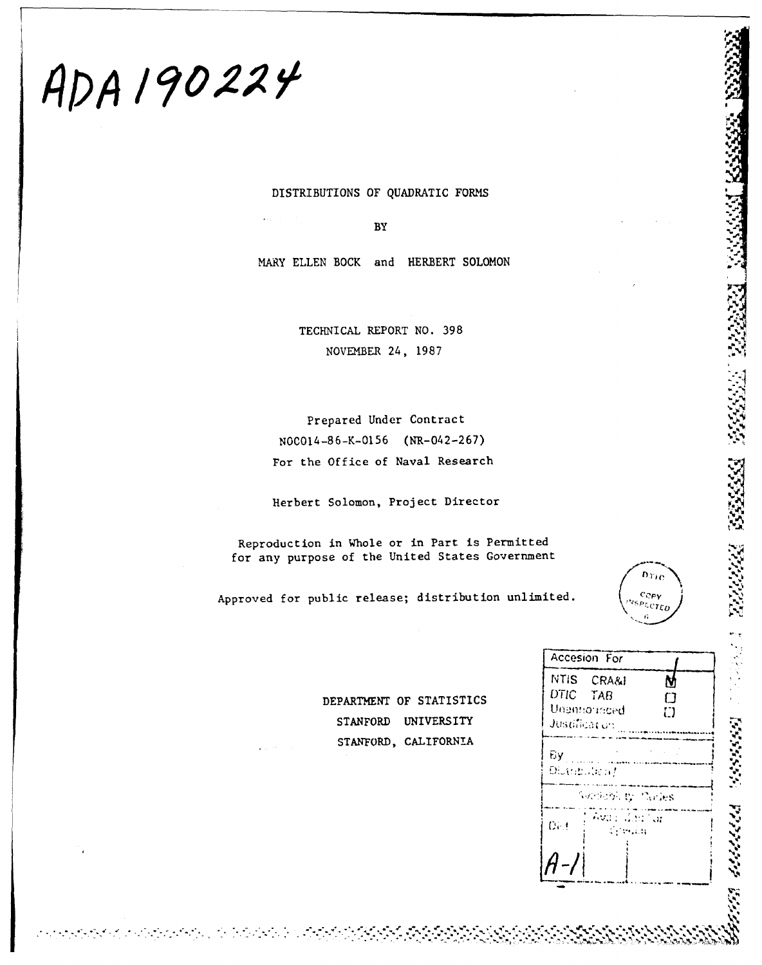# ADA 190224

DISTRIBUTIONS OF QUADRATIC FORMS

 $BY$ 

MARY ELLEN BOCK and HERBERT SOLOMON

TECHNICAL REPORT NO. 398 NOVEMBER 24, 1987

Prepared Under Contract NOCO14-86-K-0156 (NR-042-267) For the Office of Naval Research

Herbert Solomon, Project Director

Reproduction in Whole or in Part is Permitted for any purpose of the United States Government

Approved for public release; distribution unlimited.

 $D_{ML}$ Copy  $P_{LCTEO}$ 

DEPARTMENT OF STATISTICS STANFORD UNIVERSITY STANFORD, CALIFORNIA

| Accesion For                                            |             |
|---------------------------------------------------------|-------------|
| NTIS CRA&I<br>DTIC TAB<br>Unamiorinced<br>Justification | N<br>m<br>n |
| By:<br>Distribution f                                   |             |
| Northith by Carles                                      |             |
| Avail Gairlian<br>Det<br>a Perusa                       |             |
|                                                         |             |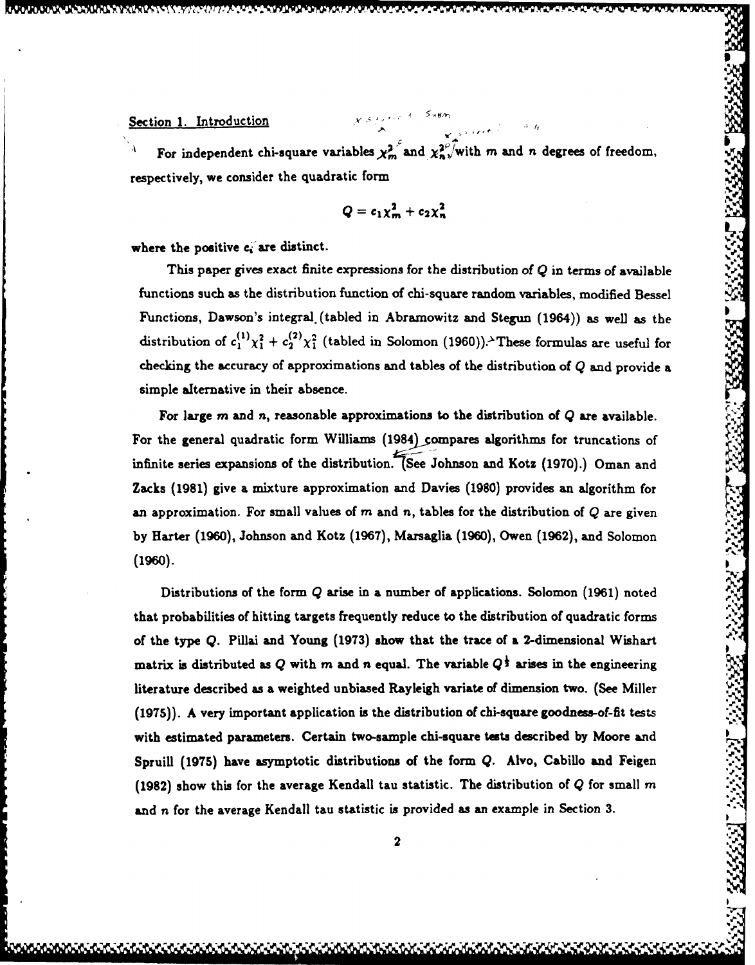# Section **1.** Introduction

For independent chi-square variables  $\chi^2_m$  and  $\chi^2_n$ , with m and n degrees of freedom, respectively, we consider the quadratic form **.**

$$
Q = c_1 \chi_m^2 + c_2 \chi_n^2 \tag{1}
$$

where the positive  $c_i$  are distinct.

This paper gives exact finite expressions for the distribution of  $Q$  in terms of available functions such as the distribution function of chi-square random variables, modified Bessel Functions, Dawson's integral. (tabled in Abramowitz and Stegun (1964)) as well as the distribution of  $c_1^{(1)}\chi_1^2 + c_2^{(2)}\chi_1^2$  (tabled in Solomon (1960)).<sup>3</sup> These formulas are useful for checking the accuracy of approximations and tables of the distribution of **Q** and provide a simple alternative in their absence.

For large *m* and *n,* reasonable approximations to the distribution of **Q** are available. For the general quadratic form Williams (1984) compares algorithms for truncations of infinite series expansions of the distribution. (See Johnson and Kotz **(1970).)** Oman and Zacks **(1981)** give a mixture approximation and Davies **(1980)** provides an algorithm for an approximation. For small values of m and n, tables for the distribution of **Q** are given **by** Harter **(1960),** Johnson and Kotz **(1967),** Marsaglia **(1960),** Owen **(1962),** and Solomon **(1960).**

Distributions of the form **Q** arise in a number of applications. Solomon **(1961)** noted that probabilities of hitting targets frequently reduce to the distribution of quadratic forms of the type **Q.** Pillai and Young **(1973)** show that the trace of **a** 2-dimensional Wishart matrix is distributed as  $Q$  with  $m$  and  $n$  equal. The variable  $Q^{\frac{1}{2}}$  arises in the engineering literature described as a weighted unbiased Rayleigh variate of dimension two. (See Miller **(1975)). A** very important application is the distribution of chi-square goodness-of-fit tests \* with estimated parameters. Certain two-sample chi-square **tests** described **by** Moore and Spruill **(1975)** have asymptotic distributions of the form **Q.** Alvo, Cabillo and Feigen **(1982)** show this for the average Kendall tau statistic. The distribution of Q for small *m* and **n** for the average Kendall tau statistic is provided as an example in Section **3.**

<sup>1</sup>**SI**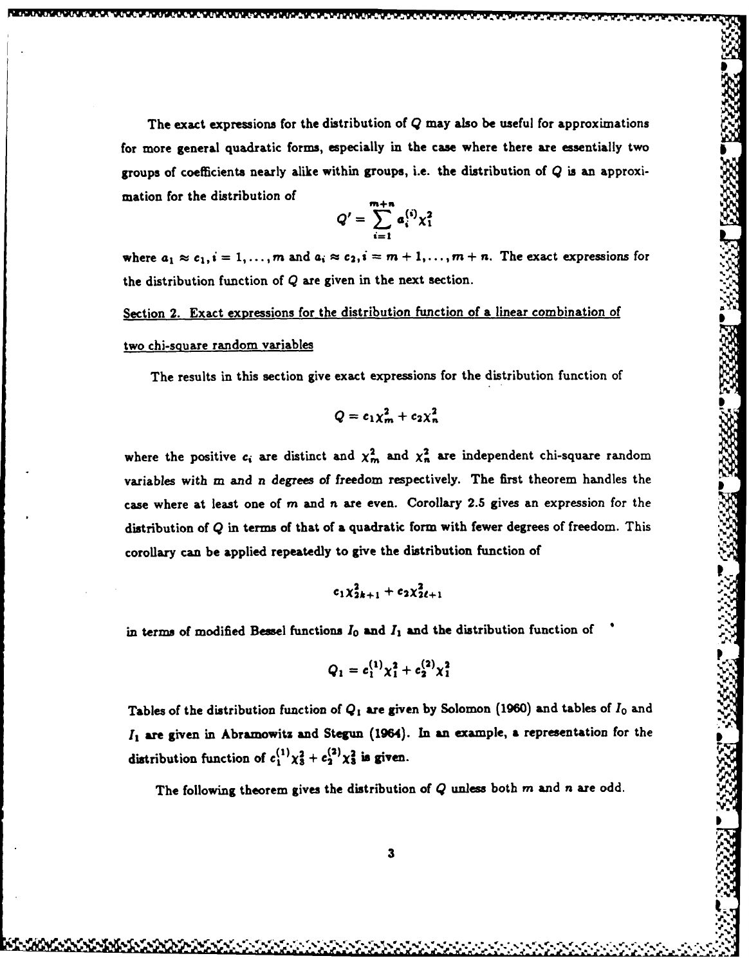The exact expressions for the distribution of **Q** may also be useful for approximations for more general quadratic forms, especially in the case where there are essentially two groups of coefficients nearly alike within groups, i.e. the distribution of **Q** is an approximation for the distribution of

$$
Q'=\sum_{i=1}^{m+n}a_i^{(i)}\chi_1^2
$$

where  $a_1 \approx c_1$ ,  $i = 1, ..., m$  and  $a_i \approx c_2$ ,  $i = m + 1, ..., m + n$ . The exact expressions for the distribution function of **Q** are given in the next section.

Section 2. Exact expressions for the distribution function of a linear combination of two chi-square random variables

The results in this section give exact expressions for the distribution function of

$$
Q=c_1\chi_m^2+c_2\chi_n^2
$$

where the positive  $c_i$  are distinct and  $\chi^2_m$  and  $\chi^2_n$  are independent chi-square random variables with m and n degrees of freedom respectively. The first theorem handles the case where at least one of m and *n* are even. Corollary 2.5 gives an expression for the distribution of Q in terms of that of a quadratic form with fewer degrees of freedom. This corolary can be applied repeatedly to give the distribution function of

$$
c_1 \chi_{2k+1}^2 + c_2 \chi_{2\ell+1}^2
$$

in terms of modified Bessel functions  $I_0$  and  $I_1$  and the distribution function of

$$
Q_1 = c_1^{(1)} \chi_1^2 + c_2^{(2)} \chi_1^2
$$

Tables of the distribution function of **Q,** are given **by** Solomon **(1960)** and tables of **I0** and *I*<sub>1</sub> are given in Abramowitz and Stegun (1964). In an example, a representation for the distribution function of  $c_1^{(1)}\chi_3^2 + c_2^{(2)}\chi_3^2$  is given.

The following theorem gives the distribution of Q unless both **m** and n are odd.

**- [ 'm, 3e ZJZJ "=** " " " **" "" "," "" " ' " "** ", **"-"** " " "\*' /",," " "' '."." **.. "'."-" ."." Z"** " **." ."."** " **%." '.. ', "..'. .""!'**

**I**

 $\sim$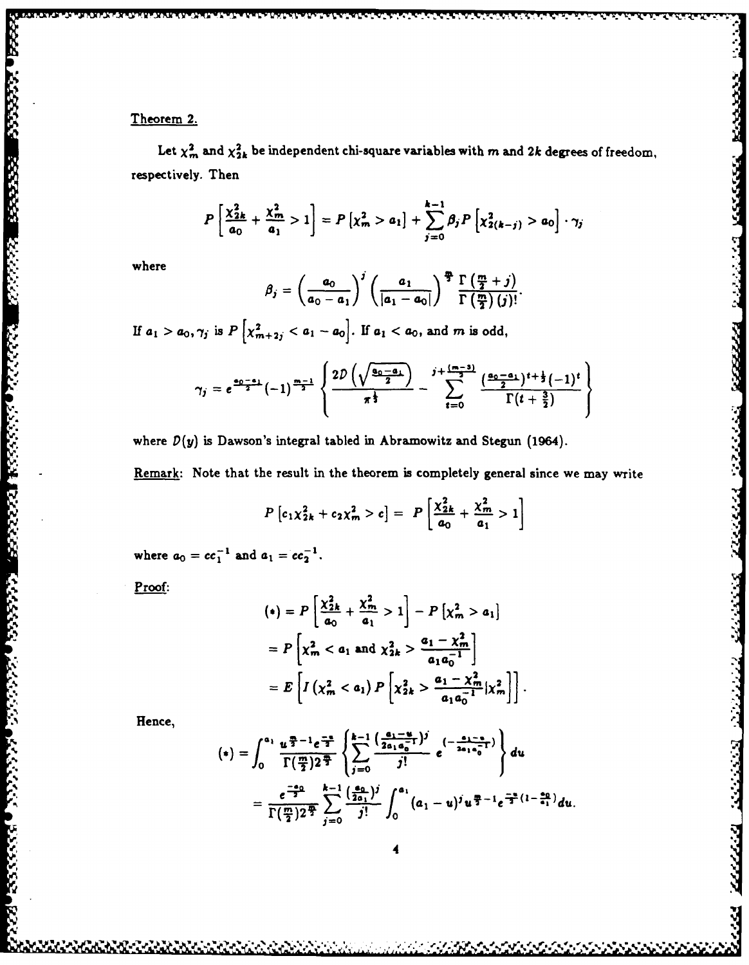**LAD** 

2022223 ESPESS XXXXXI V200000 XXXXXXII DECEME

**Contractor** 

Let  $\chi^2_m$  and  $\chi^2_{2k}$  be independent chi-square variables with  $m$  and 2k degrees of freedom, respectively. Then

$$
P\left[\frac{\chi_{2k}^2}{a_0} + \frac{\chi_m^2}{a_1} > 1\right] = P\left[\chi_m^2 > a_1\right] + \sum_{j=0}^{k-1} \beta_j P\left[\chi_{2(k-j)}^2 > a_0\right] \cdot \gamma_j
$$

where

$$
\beta_j = \left(\frac{a_0}{a_0-a_1}\right)^j \left(\frac{a_1}{|a_1-a_0|}\right)^{\frac{m}{2}} \frac{\Gamma\left(\frac{m}{2}+j\right)}{\Gamma\left(\frac{m}{2}\right)(j)!}.
$$

If  $a_1 > a_0, \gamma_j$  is  $P\left[\chi^2_{m+2j} < a_1 - a_0\right]$ . If  $a_1 < a_0$ , and m is odd,

$$
\gamma_j = e^{\frac{a_0 - a_1}{2}} (-1)^{\frac{m-1}{2}} \left\{ \frac{2D\left(\sqrt{\frac{a_0 - a_1}{2}}\right)}{\pi^{\frac{1}{3}}} - \sum_{t=0}^{j+\frac{(m-3)}{2}} \frac{\left(\frac{a_0 - a_1}{2}\right)^{t + \frac{1}{2}} (-1)^t}{\Gamma(t + \frac{3}{2})} \right\}
$$

where  $D(y)$  is Dawson's integral tabled in Abramowitz and Stegun (1964).

Remark: Note that the result in the theorem is completely general since we may write

$$
P[c_1\chi_{2k}^2 + c_2\chi_m^2 > c] = P\left[\frac{\chi_{2k}^2}{a_0} + \frac{\chi_m^2}{a_1} > 1\right]
$$

where  $a_0 = cc_1^{-1}$  and  $a_1 = cc_2^{-1}$ .

Proof:

$$
(*) = P\left[\frac{\chi_{2k}^2}{a_0} + \frac{\chi_m^2}{a_1} > 1\right] - P\left[\chi_m^2 > a_1\right]
$$
  
=  $P\left[\chi_m^2 < a_1 \text{ and } \chi_{2k}^2 > \frac{a_1 - \chi_m^2}{a_1 a_0^{-1}}\right]$   
=  $E\left[I\left(\chi_m^2 < a_1\right) P\left[\chi_{2k}^2 > \frac{a_1 - \chi_m^2}{a_1 a_0^{-1}}|\chi_m^2\right]\right].$ 

Hence,

$$
(*) = \int_0^{a_1} \frac{u^{\frac{m}{2}-1} e^{\frac{-u}{2}}}{\Gamma(\frac{m}{2}) 2^{\frac{m}{2}}} \left\{ \sum_{j=0}^{k-1} \frac{\left(\frac{a_1 - u}{2 a_1 a_0^{-1}}\right)^j}{j!} e^{-\frac{a_1 - a}{2 a_1 a_0^{-1}}} \right\} du
$$
  
= 
$$
\frac{e^{\frac{-a_0}{2}}}{\Gamma(\frac{m}{2}) 2^{\frac{m}{2}}} \sum_{j=0}^{k-1} \frac{\left(\frac{a_0}{2 a_1}\right)^j}{j!} \int_0^{a_1} (a_1 - u)^j u^{\frac{m}{2}-1} e^{\frac{-u}{2}(1-\frac{a_0}{a_1})} du
$$

**NASARA RASASA**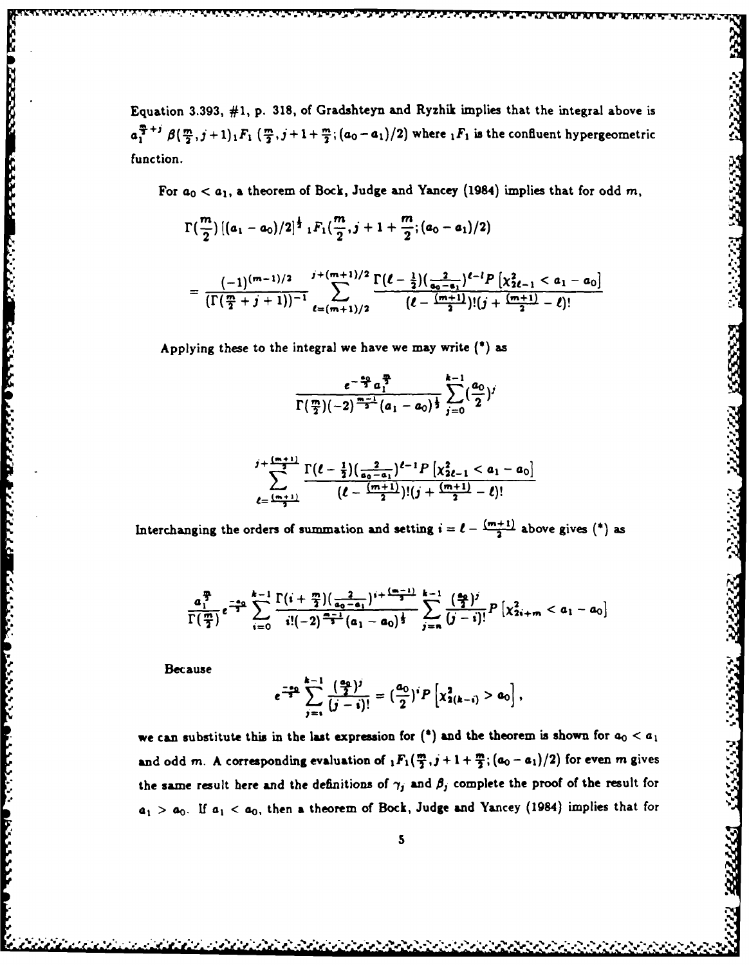Equation **3.393, #1, p. 318,** of Gradshteyn and Ryzhik implies that the integral above is  $a_1^{\frac{m}{2}+j} \beta(\frac{m}{2},j+1)_1 F_1(\frac{m}{2},j+1+\frac{m}{2};(a_0-a_1)/2)$  where  $_1F_1$  is the confluent hypergeometric function.

For  $a_0 < a_1$ , a theorem of Bock, Judge and Yancey (1984) implies that for odd m,

222223 2333332 233323

$$
\Gamma\left(\frac{m}{2}\right) \left[ (a_1-a_0)/2 \right]^{\frac{1}{2}} {}_1F_1\left(\frac{m}{2},j+1+\frac{m}{2};(a_0-a_1)/2\right)
$$

$$
= \frac{(-1)^{(m-1)/2}}{\left(\Gamma(\frac{m}{2}+j+1)\right)^{-1}} \sum_{\ell=(m+1)/2}^{j+(m+1)/2} \frac{\Gamma(\ell-\frac{1}{2})(\frac{2}{a_0-a_1})^{\ell-\ell} P\left[\chi_{2\ell-1}^2 < a_1-a_0\right]}{(\ell-\frac{(m+1)}{2})!(j+\frac{(m+1)}{2}-\ell)!}
$$

Applying these to the integral we have we may write *()* **as**

$$
\frac{e^{-\frac{a_0}{2}}a_1^{\frac{m}{2}}}{\Gamma(\frac{m}{2})(-2)^{\frac{m-1}{2}}(a_1-a_0)^{\frac{1}{2}}}\sum_{j=0}^{k-1}(\frac{a_0}{2})^j
$$

$$
\sum_{\ell=\frac{(m+1)}{2}}^{j+\frac{(m+1)}{2}}\frac{\Gamma(\ell-\frac{1}{2})(\frac{2}{a_0-a_1})^{\ell-1}P[\chi_{2\ell-1}^2
$$

Interchanging the orders of summation and setting  $i = \ell - \frac{(m+1)}{2}$  above gives (\*) as

$$
\frac{a_1^{\frac{m}{2}}}{\Gamma(\frac{m}{2})}e^{-\frac{a_0}{2}}\sum_{i=0}^{k-1}\frac{\Gamma(i+\frac{m}{2})(\frac{2}{a_0-a_1})^{i+\frac{(m-1)}{2}}}{i!(-2)^{\frac{m-1}{2}}(a_1-a_0)^{\frac{1}{2}}}\sum_{j=n}^{k-1}\frac{(\frac{a_0}{2})^j}{(j-i)!}P[\chi_{2i+m}^2 < a_1-a_0]
$$

Because

**Property** 

22222222

F.

**REALL PROPERTY** 

$$
e^{\frac{-a_0}{2}}\sum_{j=1}^{k-1}\frac{\left(\frac{a_0}{2}\right)^j}{(j-i)!}=\left(\frac{a_0}{2}\right)^{i}P\left[\chi^2_{2(k-i)}>a_0\right],
$$

we can substitute this in the last expression for  $(*)$  and the theorem is shown for  $a_0 < a_1$ and odd *m*. A corresponding evaluation of  $_1F_1(\frac{m}{2},j+1+\frac{m}{2};(a_0-a_1)/2)$  for even *m* gives the same result here and the definitions of  $\gamma_j$  and  $\beta_j$  complete the proof of the result for *a1* **> ao. If a, < ao,** then a theorem of Bock, Judge and Yancey (1984) implies that for

**5.. S\*'.** 0 **,d**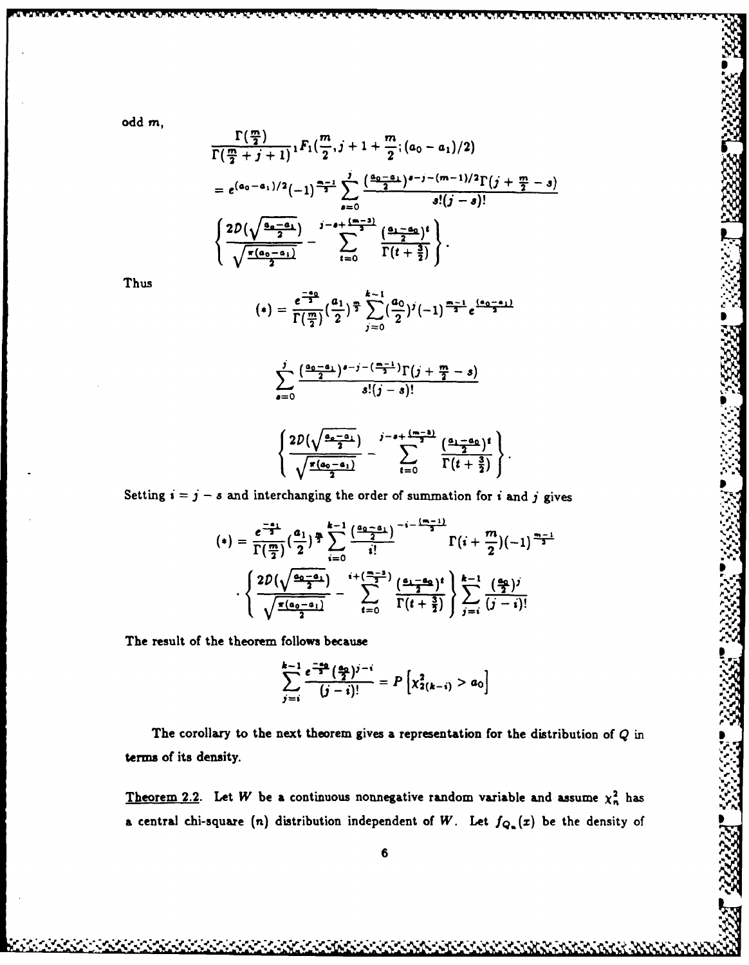odd m,

$$
\frac{\Gamma(\frac{m}{2})}{\Gamma(\frac{m}{2}+j+1)} {}_1F_1(\frac{m}{2},j+1+\frac{m}{2};(a_0-a_1)/2)
$$
\n
$$
= e^{(a_0-a_1)/2}(-1)^{\frac{m-1}{2}} \sum_{s=0}^j \frac{(\frac{a_0-a_1}{2})^{s-j-(m-1)/2} \Gamma(j+\frac{m}{2}-s)}{s!(j-s)!}
$$
\n
$$
\left\{\frac{2D(\sqrt{\frac{a_0-a_1}{2}})}{\sqrt{\frac{\pi(a_0-a_1)}{2}}} - \sum_{t=0}^{j-s+\frac{(m-3)}{2}} \frac{(\frac{a_1-a_0}{2})^t}{\Gamma(t+\frac{3}{2})}\right\}.
$$

Thus

$$
(*) = \frac{e^{\frac{-a_0}{2}}}{\Gamma(\frac{m}{2})} (\frac{a_1}{2})^{\frac{m}{2}} \sum_{j=0}^{k-1} (\frac{a_0}{2})^j (-1)^{\frac{m-1}{2}} e^{\frac{(a_0-a_1)}{2}}
$$

$$
\sum_{s=0}^j\frac{\left(\frac{a_0-a_1}{2}\right)^{s-j-\left(\frac{m-1}{2}\right)}\Gamma\left(j+\frac{m}{2}-s\right)}{s!(j-s)!}
$$

$$
\left\{\frac{2D(\sqrt{\frac{a_0-a_1}{2}})}{\sqrt{\frac{\pi(a_0-a_1)}{2}}}-\sum_{t=0}^{j-a+\frac{(m-3)}{2}}\frac{(\frac{a_1-a_0}{2})^t}{\Gamma(t+\frac{3}{2})}\right\}.
$$

Setting  $i = j - s$  and interchanging the order of summation for i and j gives

$$
(*) = \frac{e^{\frac{-a_1}{2}}}{\Gamma(\frac{m}{2})} (\frac{a_1}{2})^{\frac{m}{2}} \sum_{i=0}^{k-1} \frac{(\frac{a_0 - a_1}{2})}{i!} \Gamma(i + \frac{m}{2})(-1)^{\frac{m-1}{2}}
$$

$$
\cdot \left\{ \frac{2D(\sqrt{\frac{a_0 - a_1}{2}})}{\sqrt{\frac{\pi(a_0 - a_1)}{2}}} - \sum_{t=0}^{i+(\frac{m-3}{2})} \frac{(\frac{a_1 - a_0}{2})^t}{\Gamma(t + \frac{3}{2})} \right\} \sum_{j=i}^{k-1} \frac{(\frac{a_0}{2})^j}{(j-i)!}
$$

The result of the theorem follows because

$$
\sum_{j=i}^{k-1} \frac{e^{\frac{-a_0}{2}} (\frac{a_0}{2})^{j-i}}{(j-i)!} = P\left[\chi_{2(k-i)}^2 > a_0\right]
$$

The corollary to the next theorem gives a representation for the distribution of  $Q$  in terms of its density.

Theorem 2.2. Let W be a continuous nonnegative random variable and assume  $\chi_n^2$  has a central chi-square (n) distribution independent of W. Let  $f_{Q_n}(x)$  be the density of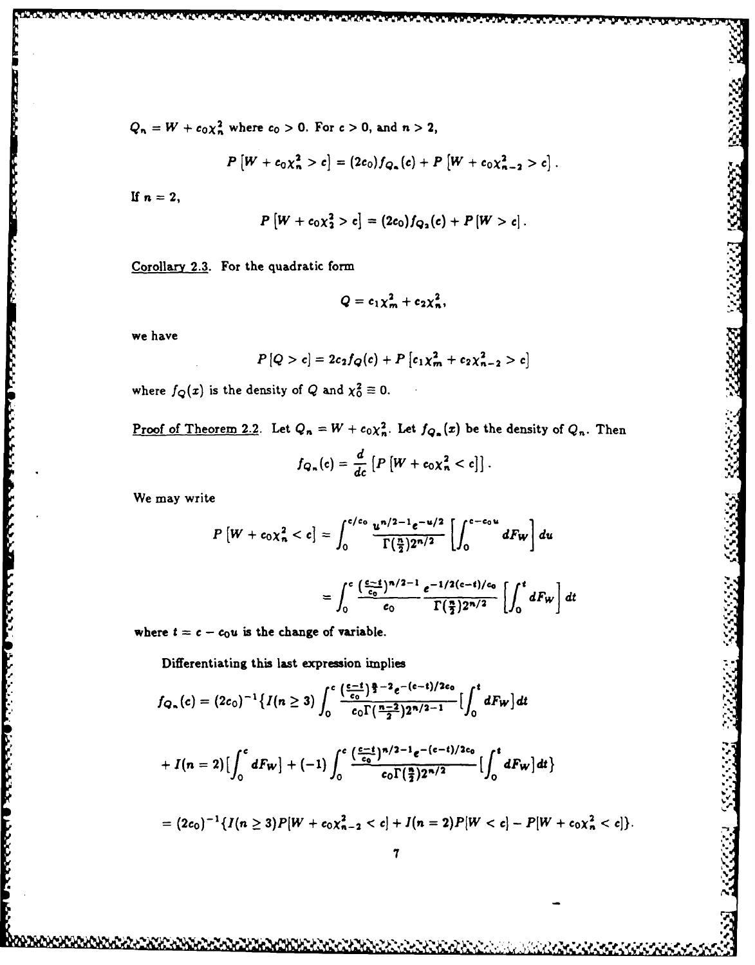$Q_n = W + c_0 \chi_n^2$  where  $c_0 > 0$ . For  $c > 0$ , and  $n > 2$ ,

$$
P[W + c_0 \chi_n^2 > c] = (2c_0) f_{Q_n}(c) + P[W + c_0 \chi_{n-2}^2 > c].
$$

If  $n = 2$ ,

$$
P[W + c_0 \chi_2^2 > c] = (2c_0) f_{Q_2}(c) + P[W > c]
$$

Corollary 2.3. For the quadratic form

$$
Q=c_1\chi_m^2+c_2\chi_n^2,
$$

we have

المتعاون والمتعاون

والمحمد والمراكح والمحاويات والمرادي والمنادر والمنافر والمحافظ والمحافظ والمحافظة والمحافظة والمحافظة والمحافظة

$$
P[Q > c] = 2c_2f_Q(c) + P[c_1\chi_m^2 + c_2\chi_{n-2}^2 > c]
$$

where  $f_Q(x)$  is the density of Q and  $\chi_0^2 \equiv 0$ .

<u>Proof of Theorem 2.2</u>. Let  $Q_n = W + c_0 \chi_n^2$ . Let  $f_{Q_n}(x)$  be the density of  $Q_n$ . Then

$$
f_{Q_n}(c) = \frac{d}{dc} \left[ P \left[ W + c_0 \chi_n^2 < c \right] \right].
$$

We may write

$$
P\left[W + c_0 \chi_n^2 < c\right] = \int_0^{c/c_0} \frac{u^{n/2 - 1} e^{-u/2}}{\Gamma(\frac{n}{2}) 2^{n/2}} \left[ \int_0^{c - c_0 u} dF_W \right] du
$$
\n
$$
= \int_0^c \frac{(\frac{c - t}{c_0})^{n/2 - 1}}{c_0} \frac{e^{-1/2(c - t)/c_0}}{\Gamma(\frac{n}{2}) 2^{n/2}} \left[ \int_0^t dF_W \right] dt
$$

where  $t = c - c_0 u$  is the change of variable.

Differentiating this last expression implies

$$
f_{\mathbf{Q}_n}(c)=(2c_0)^{-1}\big\{I(n\geq 3)\int_0^c\frac{\left(\frac{c-t}{c_0}\right)\frac{n}{2}-2e^{-(c-t)/2c_0}}{c_0\Gamma(\frac{n-2}{2})2^{n/2-1}}\big[\int_0^t dF_W\big]dt
$$

$$
+ I(n = 2) \Bigl[ \int_0^c dF_{W} \Bigr] + (-1) \int_0^c \frac{(\frac{c-t}{c_0})^{n/2 - 1} e^{-(c-t)/2c_0}}{c_0 \Gamma(\frac{n}{2}) 2^{n/2}} \Bigl[ \int_0^t dF_{W} \Bigr] dt \Bigr\}
$$

$$
= (2c_0)^{-1}\left\{I(n \geq 3)P[W + c_0\chi_{n-2}^2 < c] + I(n = 2)P[W < c] - P[W + c_0\chi_n^2 < c]\right\}.
$$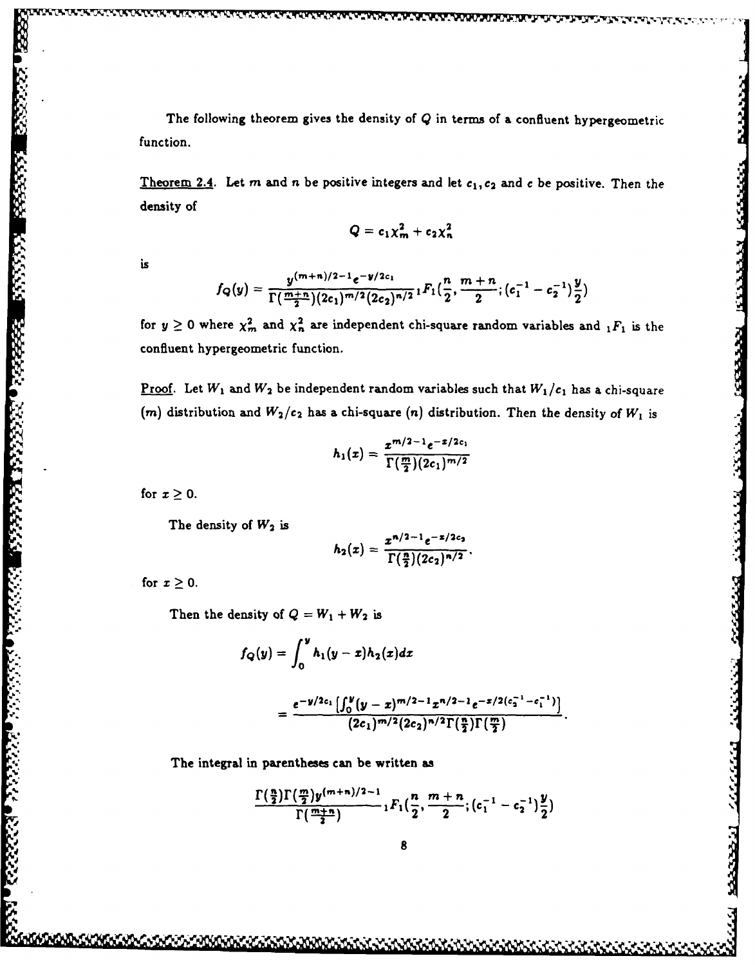The following theorem gives the density of  $Q$  in terms of a confluent hypergeometric function.

Theorem 2.4. Let *m* and *n* be positive integers and let  $c_1, c_2$  and *c* be positive. Then the density of

$$
Q=c_1\chi_m^2+c_2\chi_n^2
$$

is

$$
f_Q(y) = \frac{y^{(m+n)/2-1}e^{-y/2c_1}}{\Gamma(\frac{m+n}{2})(2c_1)^{m/2}(2c_2)^{n/2}} {}_1F_1(\frac{n}{2}, \frac{m+n}{2}; (c_1^{-1} - c_2^{-1})\frac{y}{2})
$$

for  $y \ge 0$  where  $\chi^2_m$  and  $\chi^2_n$  are independent chi-square random variables and  $_1F_1$  is the confluent hypergeometric function.

<u>Proof</u>. Let  $W_1$  and  $W_2$  be independent random variables such that  $W_1/c_1$  has a chi-square (*m*) distribution and  $W_2/c_2$  has a chi-square (*n*) distribution. Then the density of  $W_1$  is for  $x \ge 0$ .<br>
The for  $x \ge 0$ .<br>
The for  $x \ge 0$ .<br>
The for  $x \ge 0$ .<br>
The for  $x \ge 0$ .<br>
The for  $x \ge 0$ .<br>
The for  $x \ge 0$ .

$$
h_1(x)=\frac{x^{m/2-1}e^{-x/2c_1}}{\Gamma(\frac{m}{2})(2c_1)^{m/2}}
$$

The density of  $W_2$  is

$$
h_2(x)=\frac{x^{n/2-1}e^{-x/2c_2}}{\Gamma(\frac{n}{2})(2c_2)^{n/2}}.
$$

for  $x \geq 0$ .

Then the density of  $Q = W_1 + W_2$  is

$$
f_Q(y) = \int_0^y h_1(y-x)h_2(x)dx
$$
  
= 
$$
\frac{e^{-y/2c_1}\left[\int_0^y (y-x)^{m/2-1}x^{n/2-1}e^{-x/2(c_2^{-1}-c_1^{-1})}\right]}{(2c_1)^{m/2}(2c_2)^{n/2}\Gamma(\frac{n}{2})\Gamma(\frac{m}{2})}
$$

The integral in parentheses can be written as

$$
\frac{\Gamma(\frac{n}{2})\Gamma(\frac{m}{2})y^{(m+n)/2-1}}{\Gamma(\frac{m+n}{2})}\, {}_1F_1(\frac{n}{2},\frac{m+n}{2};(c_1^{-1}-c_2^{-1})\frac{y}{2})
$$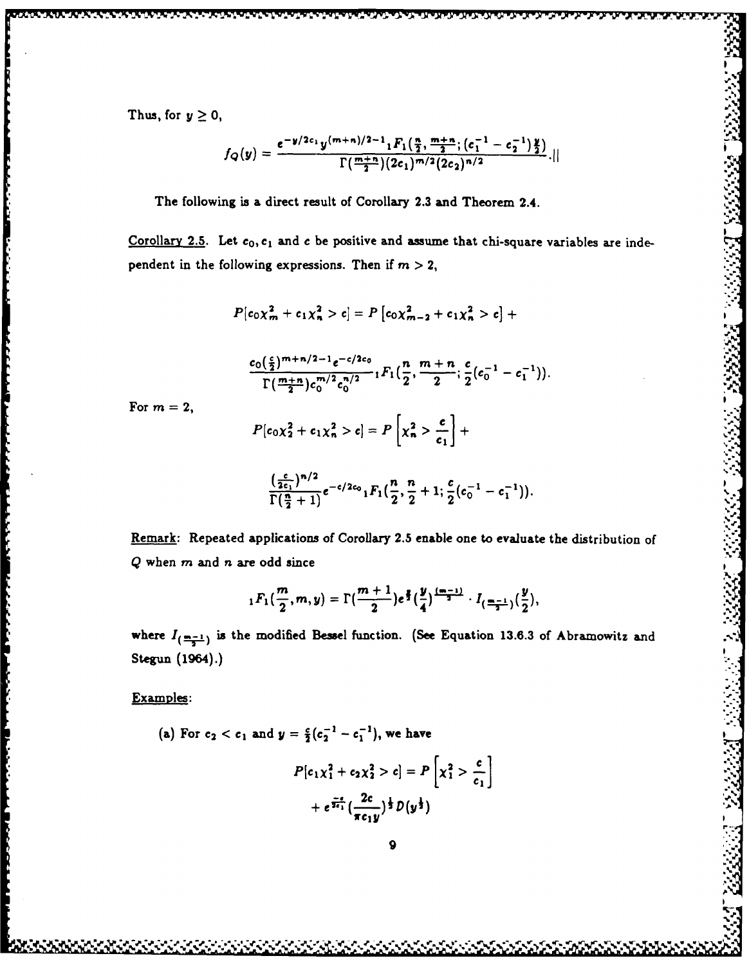$$
f_Q(y)=\frac{e^{-y/2c_1}y^{(m+n)/2-1}{}_1F_1(\frac{n}{2},\frac{m+n}{2};(c_1^{-1}-c_2^{-1})\frac{y}{2})}{\Gamma(\frac{m+n}{2})(2c_1)^{m/2}(2c_2)^{n/2}}.
$$

**"t..1**

ふくぶん しきかきがたか ふしょう しょうじ

アー・シャー

The following is a direct result **of** Corollary **2.3** and Theorem 2.4. *.*

Corollary 2.5. Let  $c_0, c_1$  and c be positive and assume that chi-square variables are independent in the following expressions. Then if  $m > 2$ ,

$$
P[c_0 \chi_m^2 + c_1 \chi_n^2 > c] = P[c_0 \chi_{m-2}^2 + c_1 \chi_n^2 > c] +
$$

$$
\frac{c_0(\frac{c}{2})^{m+n/2-1}e^{-c/2c_0}}{\Gamma(\frac{m+n}{2})c_0^{m/2}c_0^{n/2}} {}_1F_1(\frac{n}{2},\frac{m+n}{2};\frac{c}{2}(c_0^{-1}-c_1^{-1})).
$$

For  $m = 2$ ,

$$
P[c_0\chi_2^2+c_1\chi_n^2>c]=P\left[\chi_n^2>\frac{c}{c_1}\right]+
$$

$$
\frac{\left(\frac{c}{2c_1}\right)^{n/2}}{\Gamma(\frac{n}{2}+1)}e^{-c/2c_0} {}_1F_1(\frac{n}{2},\frac{n}{2}+1;\frac{c}{2}(c_0^{-1}-c_1^{-1})).
$$

Remark: Repeated applications of Corollary 2.5 enable one to evaluate the distribution **of <sup>Q</sup>**when m and n are odd since

$$
{}_1F_1(\frac{m}{2},m,y)=\Gamma(\frac{m+1}{2})e^{\frac{y}{2}}(\frac{y}{4})^{\frac{(m-1)}{2}}\cdot I_{(\frac{m-1}{2})}(\frac{y}{2}),
$$

where  $I_{(\frac{m-1}{2})}$  is the modified Bessel function. (See Equation 13.6.3 of Abramowitz and **Stegun** (1964).)

# Examples:

(a) For  $c_2 < c_1$  and  $y = \frac{c}{2}(c_2^{-1} - c_1^{-1})$ , we have  $P[c_1x_1^2 + c_2x_2^2 > c] = P\left[x_1^2 > \frac{c}{c_1}\right]$ 

$$
+ e^{\frac{-\epsilon}{2\epsilon_1}} \big( \frac{2c}{\pi c_1 y} \big)^{\frac{1}{2}} D(y^{\frac{1}{2}})
$$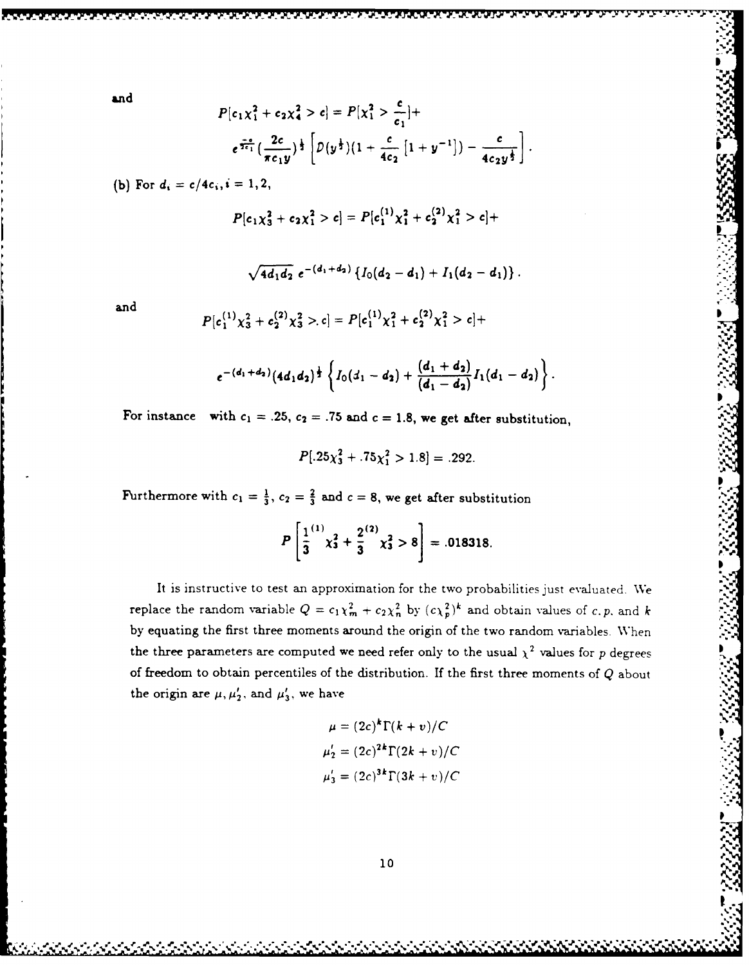and

$$
P[c_1\chi_1^2 + c_2\chi_4^2 > c] = P[\chi_1^2 > \frac{c}{c_1}] +
$$
  

$$
e^{\frac{-c}{2c_1}}(\frac{2c}{\pi c_1 y})^{\frac{1}{2}} \left[ D(y^{\frac{1}{2}})(1 + \frac{c}{4c_2} [1 + y^{-1}]) - \frac{c}{4c_2 y^{\frac{1}{2}}} \right].
$$

(b) For  $d_i = c/4c_i, i = 1, 2$ ,

$$
P[c_1\chi_3^2+c_2\chi_1^2>c]=P[c_1^{(1)}\chi_1^2+c_2^{(2)}\chi_1^2>c]+
$$

$$
\sqrt{4d_1d_2} e^{-(d_1+d_2)} \left\{ I_0(d_2-d_1) + I_1(d_2-d_1) \right\}.
$$

and

$$
P[c_1^{(1)}\chi_3^2+c_2^{(2)}\chi_3^2>c]=P[c_1^{(1)}\chi_1^2+c_2^{(2)}\chi_1^2>c]+
$$

$$
e^{-(d_1+d_2)}(4d_1d_2)^{\frac{1}{2}}\left\{I_0(d_1-d_2)+\frac{(d_1+d_2)}{(d_1-d_2)}I_1(d_1-d_2)\right\}.
$$

For instance with  $c_1 = .25$ ,  $c_2 = .75$  and  $c = 1.8$ , we get after substitution,

$$
P[.25\chi_3^2+.75\chi_1^2>1.8]=.292.
$$

Furthermore with  $c_1 = \frac{1}{3}$ ,  $c_2 = \frac{2}{3}$  and  $c = 8$ , we get after substitution

$$
P\left[\frac{1}{3}^{(1)}\chi_3^2+\frac{2}{3}^{(2)}\chi_3^2>8\right]=.018318.
$$

It is instructive to test an approximation for the two probabilities Just evaluated. We replace the random variable  $Q = c_1 \chi_m^2 + c_2 \chi_n^2$  by  $(c \chi_p^2)^k$  and obtain values of *c. p.* and *k* **by** equating the first three moments around the origin of the two random variables. When the three parameters are computed we need refer only to the usual  $\chi^2$  values for p degrees of freedom to obtain percentiles of the distribution. If the first three moments **of Q** about the origin are  $\mu$ ,  $\mu'_{2}$ , and  $\mu'_{3}$ , we have

$$
\mu = (2c)^{k} \Gamma(k+v)/C
$$
  
\n
$$
\mu'_{2} = (2c)^{2k} \Gamma(2k+v)/C
$$
  
\n
$$
\mu'_{3} = (2c)^{3k} \Gamma(3k+v)/C
$$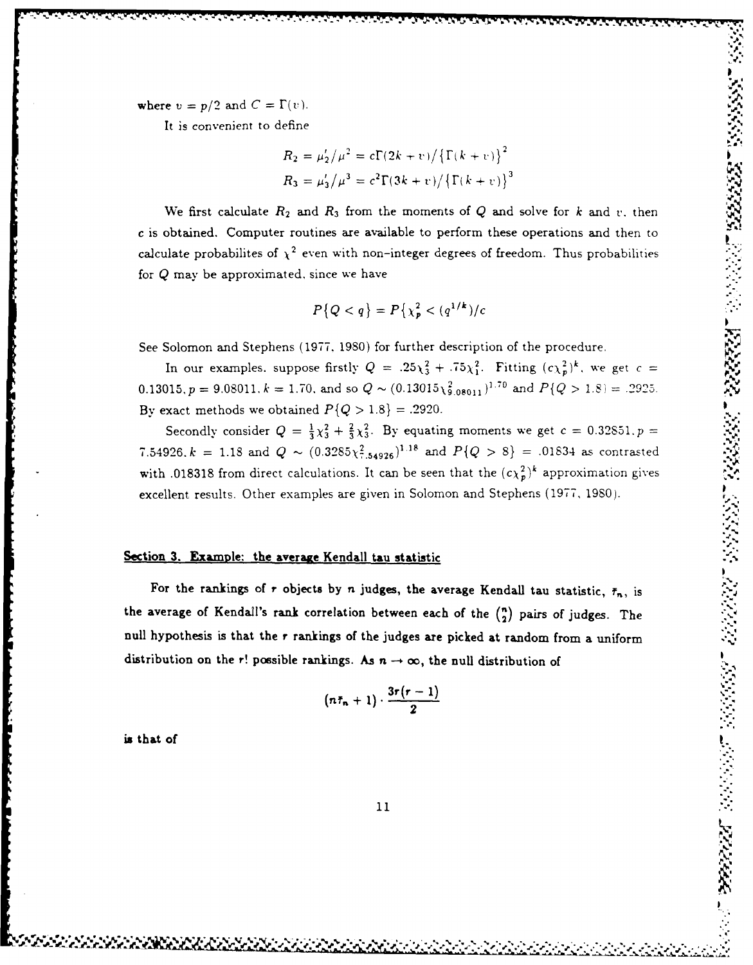where  $v = p/2$  and  $C = \Gamma(v)$ .

**. -..** *<-* - **.<\_, , 2 m.** - - - - **-** - **t..-\_.** . <sup>p</sup>**.**

$$
R_2 = \mu'_2 / \mu^2 = c \Gamma(2k + v) / {\Gamma(k + v)}^2
$$
  
\n
$$
R_3 = \mu'_3 / \mu^3 = c^2 \Gamma(3k + v) / {\Gamma(k + v)}^3
$$

We first calculate  $R_2$  and  $R_3$  from the moments of  $Q$  and solve for  $k$  and  $v$ , then c is obtained. Computer routines are available to perform these operations and then to calculate probabilites of  $\chi^2$  even with non-integer degrees of freedom. Thus probabilities for **Q** may be approximated. since we have

$$
P\{Q < q\} = P\{\chi_p^2 < (q^{1/k})/c
$$

See Solomon and Stephens **(1977. 1980)** for further description of the procedure.

In our examples. suppose firstly  $Q = .25\chi_3^2 + .75\chi_1^2$ . Fitting  $(c\chi_p^2)^k$ , we get  $c =$  $0.13015, p = 9.08011, k = 1.70$ , and so  $Q \sim (0.13015 \chi_{9.08011}^2)^{1.70}$  and  $P\{Q > 1.8\} = .2925$ . By exact methods we obtained  $P\{Q > 1.8\} = .2920$ .

**Secondly consider**  $Q = \frac{1}{3}\chi_3^2 + \frac{2}{3}\chi_3^2$ **. By equating moments we get**  $c = 0.32851$ **.**  $p =$ **7.54926.**  $k = 1.18$  and  $Q \sim (0.3285 \chi_{1.54926}^2)^{1.18}$  and  $P\{Q > 8\} = .01834$  as contrasted with **.018318** from direct calculations. It can be seen that the  $(c\chi_p^2)^k$  approximation gives excellent results. Other examples are given in Solomon and Stephens **(1977, 1980).**

# **Section 3. Example: the average Kendall tau statistic**

It is convenient to define  $R_0$  and  $Q = \Gamma(x)$ .<br>
It is convenient to define  $R_0$  and  $R_1$  for  $\left(\frac{1}{2}k + v\right)^2 \left(\Gamma(k + v)\right)^2$ <br>  $R_0 = \alpha_1^2/\mu^2 = c\Gamma(2k + v)\left(\Gamma(k + v)\right)^2$ <br>
We first calculate  $R_0$  and  $R_1$  from the moments of Q For the rankings of *r* objects by *n* judges, the average Kendall tau statistic,  $\bar{r}_n$ , is the average of Kendall's rank correlation between each of the  $\binom{n}{2}$  pairs of judges. The **null hypothesis is that the** *r* **rankings of the judges are picked at random from a uniform** distribution on the r! possible rankings. As  $n \to \infty$ , the null distribution of

$$
(n\bar{\tau}_n+1)\cdot \frac{3r(r-1)}{2}
$$

is that of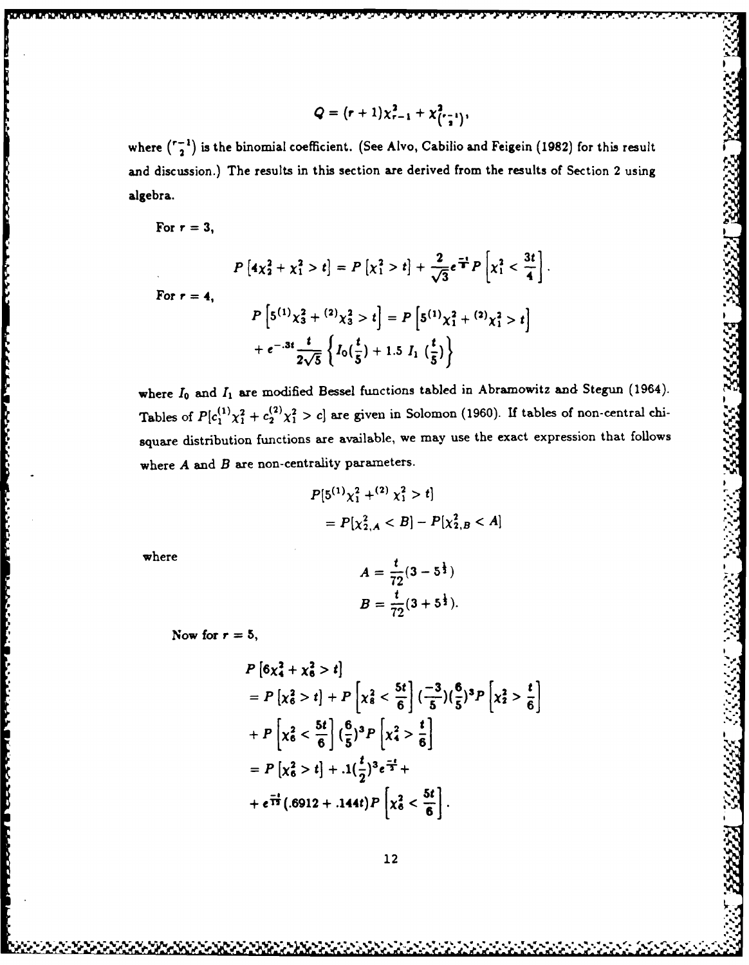$$
Q = (r+1)\chi_{r-1}^2 + \chi_{\binom{r-1}{2}}^2,
$$

where  $\binom{r-1}{2}$  is the binomial coefficient. (See Alvo, Cabilio and Feigein (1982) for this result and discussion.) The results in this section are derived from the results of Section 2 using algebra.

For  $r = 3$ ,

ſ

وتحاسرها والمقارنة فالمناسب

**Property Burnett Control of the Second Second Second Second Second Second Second Second Second Second Second Second Second Second Second Second Second Second Second Second Second Second Second Second Second Second Second** 

$$
P\left[4\chi_2^2+\chi_1^2>t\right]=P\left[\chi_1^2>t\right]+\frac{2}{\sqrt{3}}e^{\frac{-t}{2}}P\left[\chi_1^2<\frac{3t}{4}\right].
$$

For  $r = 4$ ,

$$
P\left[5^{(1)}\chi_3^2 + {}^{(2)}\chi_3^2 > t\right] = P\left[5^{(1)}\chi_1^2 + {}^{(2)}\chi_1^2 > t\right] + e^{-.3t}\frac{t}{2\sqrt{5}}\left\{I_0\left(\frac{t}{5}\right) + 1.5\ I_1\left(\frac{t}{5}\right)\right\}
$$

where  $I_0$  and  $I_1$  are modified Bessel functions tabled in Abramowitz and Stegun (1964). Tables of  $P[c_1^{(1)}\chi_1^2+c_2^{(2)}\chi_1^2>c]$  are given in Solomon (1960). If tables of non-central chisquare distribution functions are available, we may use the exact expression that follows where  $A$  and  $B$  are non-centrality parameters.

33335

$$
P[5^{(1)}\chi_1^2 + ^{(2)}\chi_1^2 > t] \\
= P[\chi_{2,A}^2 < B] - P[\chi_{2,B}^2 < A]
$$

where

$$
A = \frac{t}{72}(3 - 5^{\frac{1}{3}})
$$
  

$$
B = \frac{t}{72}(3 + 5^{\frac{1}{3}}).
$$

Now for  $r = 5$ ,

$$
P\left[6\chi_4^2 + \chi_6^2 > t\right]
$$
  
=  $P\left[\chi_6^2 > t\right] + P\left[\chi_8^2 < \frac{5t}{6}\right] \left(\frac{-3}{5}\right) \left(\frac{6}{5}\right)^3 P\left[\chi_2^2 > \frac{t}{6}\right]$   
+  $P\left[\chi_6^2 < \frac{5t}{6}\right] \left(\frac{6}{5}\right)^3 P\left[\chi_4^2 > \frac{t}{6}\right]$   
=  $P\left[\chi_6^2 > t\right] + .1 \left(\frac{t}{2}\right)^3 e^{\frac{-t}{3}} +$   
+  $e^{\frac{-t}{12}} (.6912 + .144t) P\left[\chi_6^2 < \frac{5t}{6}\right].$ 

2020202030303030303030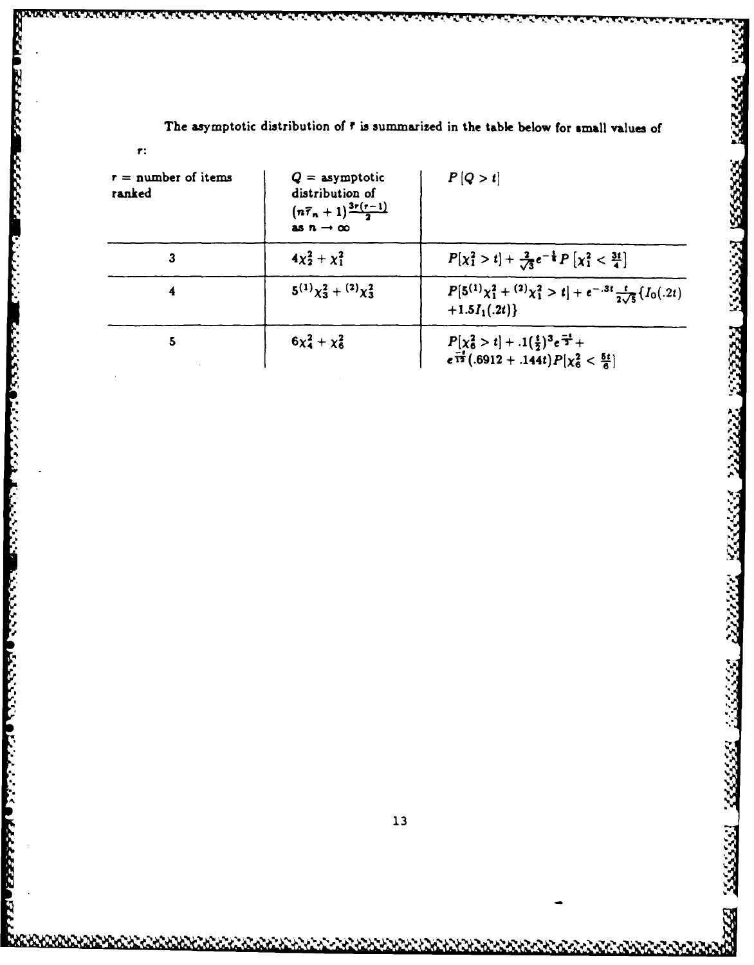| $r =$ number of items<br>ranked | $Q =$ asymptotic<br>distribution of<br>$(n\overline{r}_n+1)^{\frac{3r(r-1)}{2}}$<br>as $n \rightarrow \infty$ | P[Q > t]                                                                                                                   |
|---------------------------------|---------------------------------------------------------------------------------------------------------------|----------------------------------------------------------------------------------------------------------------------------|
| 3                               | $4x_2^2 + x_1^2$                                                                                              | $P[\chi_1^2 > t] + \frac{2}{\sqrt{3}}e^{-\frac{t}{4}}P[\chi_1^2 < \frac{3t}{4}]$                                           |
| 4                               | $5^{(1)}\chi_3^2 + (2)\chi_3^2$                                                                               | $P[5^{(1)}\chi_1^2 + {}^{(2)}\chi_1^2 > t] + e^{-.3t} \frac{t}{2\sqrt{5}}\{I_0(.2t)\}$<br>$+1.5I_1(.2t)\}$                 |
| 5                               | $6x_4^2 + x_6^2$                                                                                              | $P[\chi_6^2 > t] + .1(\frac{t}{2})^3 e^{\frac{-t}{2}} +$<br>$e^{\frac{-t}{12}} (.6912 + .144t) P[\chi_6^2 < \frac{5t}{6}]$ |

The asymptotic distribution of  $\bar{r}$  is summarized in the table below for small values of

1333333

222223

777777

233333

2222222

33333 333333

2224

**PRODUCTION** 

737337

E<br>E

i.<br>S

**Existence and the contract of the contract of the contract of the contract of the contract of the contract of th** 

CARACAS

 $\mathbf{r}$ :

1213121223120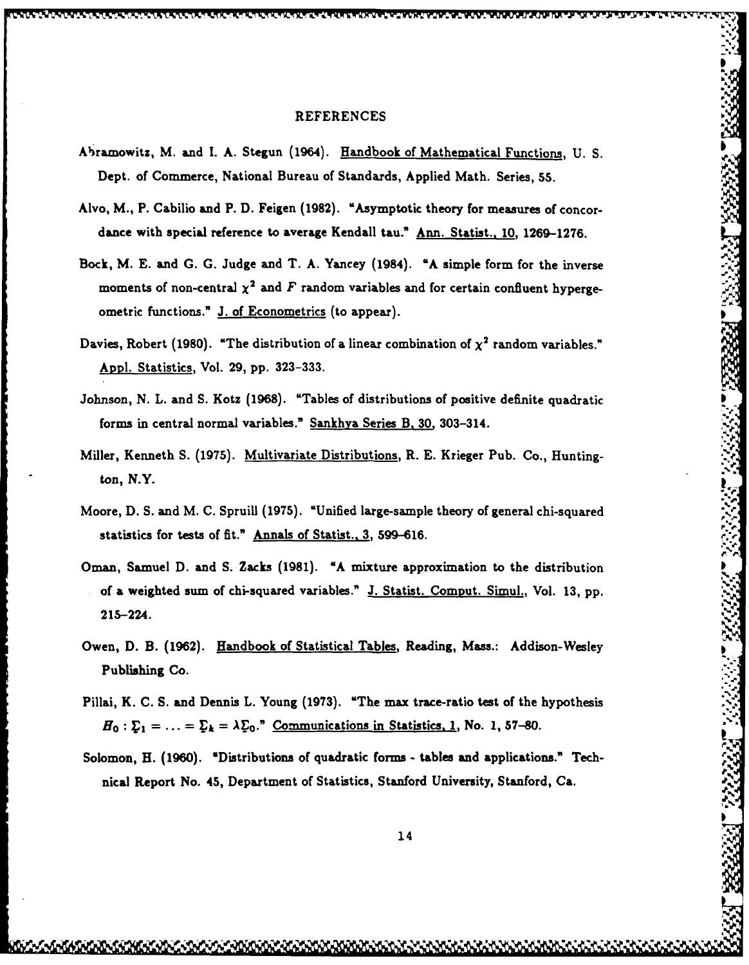# **REFERENCES** A-ramowitz, M. and **1. A.** Stegun (1964). Handbook of Mathematical Functions, **U. S.**

- Abramowitz, M. and I. A. Stegun (1964). Handbook of Mathematical Functions, U. S. Dept. **of** Commerce, National Bureau **of** Standards, Applied Math. Series, **55.**
- Alvo, M., P. Cabilio and P. D. Feigen (1982). "Asymptotic theory for measures of concor**dance with special reference to average Kendall tau." Ann. Statist., 10, 1269-1276.**
- **Bock, M. E. and G. G. Judge and T. A. Yancey (1984). "A simple form for the inverse** moments of non-central  $\chi^2$  and  $F$  random variables and for certain confluent hyperge**ometric functions." J. of Econometrics (to appear).**
- Davies, Robert (1980). "The distribution of a linear combination of  $\chi^2$  random variables." **App]. Statistics, Vol. 29, pp. 323-333.**
- **Johnson, N. L. and S. Kotz (1968). "Tables of distributions of positive definite quadratic forms** in **central normal variables." Sankhya Series B. 30, 303-314.**
- **Miller, Kenneth S. (1975). Multivariate Distributions, R. E. Krieger Pub. Co., Huntington,** *N.* **Y.**
- **Moore, D. S. and M. C. Spruill (1975). "Unified large-sample** theory **of general chi-squared% statistics for tests of fit." Annals of Statist., 3, 599-616.**
- Oman, Samuel D. and S. Zacks (1981). "A mixture approximation to the distribution **of a weighted sum of chi-squared variables." J. Statist. Comput. Simul., Vol. 13, pp. ,,**  $215 - 224$ .
- **Owen, D. B. (1962). Handbook of Statistical Tables,** Reading, **Mass.: Addison-Wesley** "' **Publishing Co. .:-**
- Pillai, K. C. S. and Dennis L. Young (1973). "The max trace-ratio test of the hypothesis  $H_0: \mathcal{L}_1 = \ldots = \mathcal{L}_k = \lambda \mathcal{L}_0$ ." Communications in Statistics, 1, No. 1, 57-80.
- **Solomon, H. (1960). 'Distributions of quadratic forms - tables and applications." Tech- , nical Report No. 45, Department of Statistics, Stanford University, Stanford, Ca. .**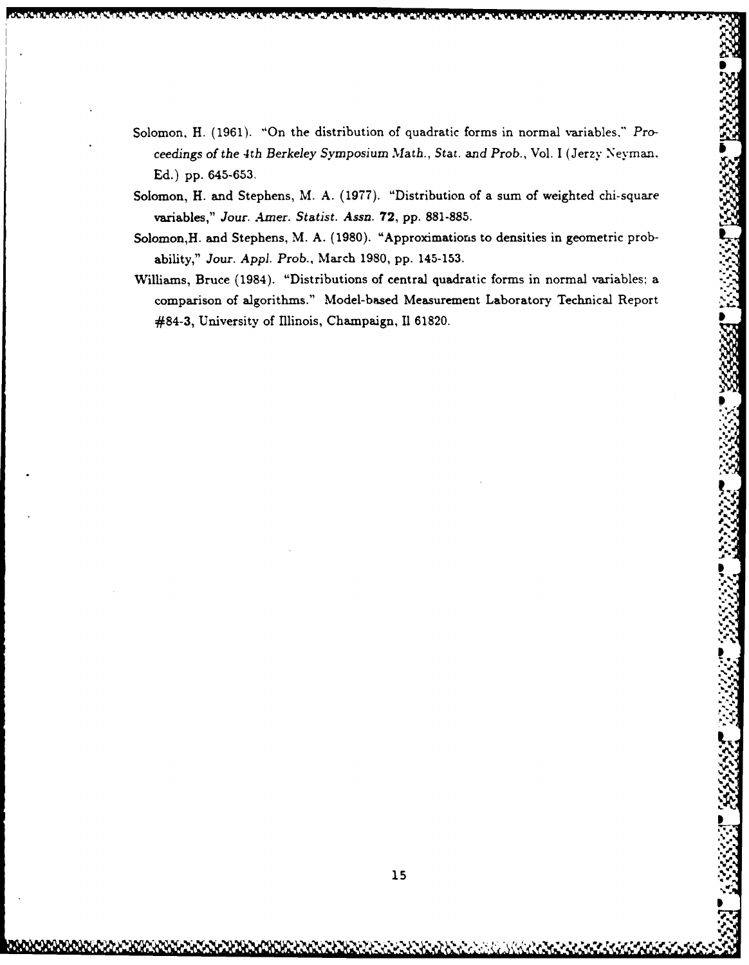- Solomon, H. **(1961).** "On the distribution of quadratic forms in normal variables," *Proceedings of the* 4th *Berkeley Symposium Math., Stat.* and *Prob.,* Vol. **I** (Jerzy Neyman. **Ed.) pp. 645-653.**
- Solomon, H. and Stephens, M. **A. (1977).** "Distribution of a sum of weighted chi-square variables," *Jour. Amer. Statist. Assn.* **72, pp. 881-885.**
- Solomon,H. and Stephens, M. **A. (1980).** "Approximations to densities in geometric probability," *Jour. Appi. Prob.,* March **1980, pp. 145-153.**
- Williams, Bruce (1984). "Distributions of central quadratic forms in normal variables: a comparison of algorithms." Model-based Measurement Laboratory Technical Report #84-3, University of Illinois, Champaign, **El 61820.**

**1%**

**NP \*1\*~q**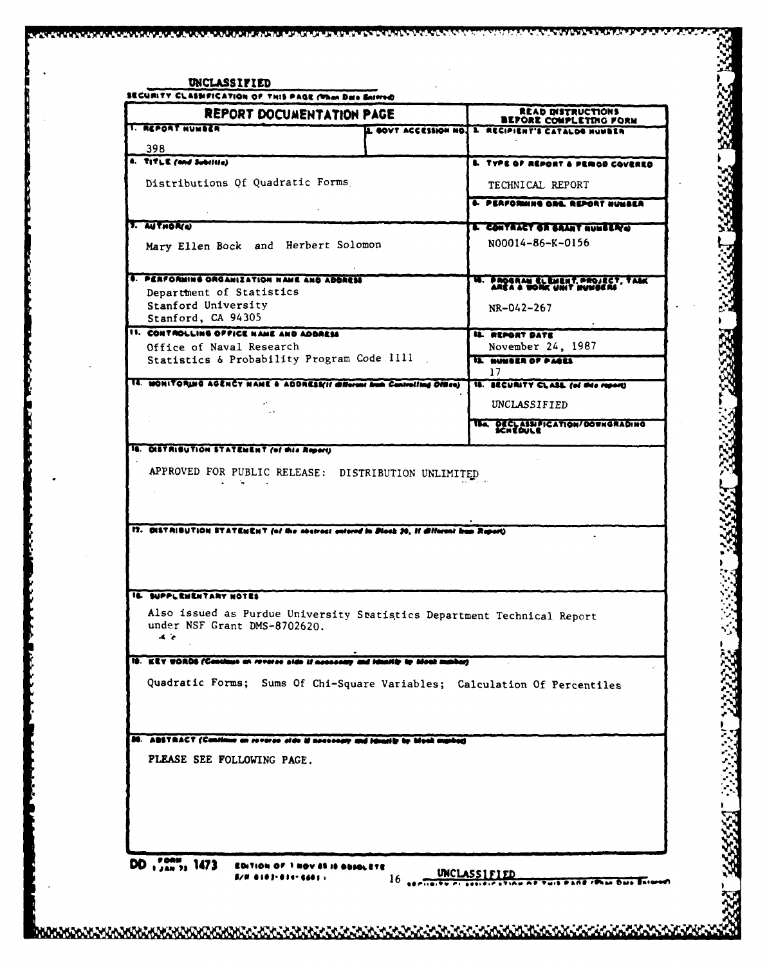| <b>REPORT DOCUMENTATION PAGE</b>                                                                                               |  | READ INSTRUCTIONS<br><b>BEFORE COMPLETING FORM</b>         |
|--------------------------------------------------------------------------------------------------------------------------------|--|------------------------------------------------------------|
| <b>I. REPORT NUMBER</b>                                                                                                        |  | 2. GOVT ACCESSION NO. 3. RECIPIENT'S CATALOG NUMBER        |
| 398                                                                                                                            |  |                                                            |
| 4. TITLE (and Subilitie)                                                                                                       |  | <b>L. TYPE OF REPORT &amp; PERIOD COVERED</b>              |
| Distributions Of Quadratic Forms                                                                                               |  | TECHNICAL REPORT                                           |
|                                                                                                                                |  | 4. PERFORMING ORE. REPORT NUMBER                           |
| <b>1. AUTHOR(4)</b>                                                                                                            |  |                                                            |
|                                                                                                                                |  | L'EONTRACY OR BRANT NUMBER O<br>N00014-86-K-0156           |
| Mary Ellen Bock and Herbert Solomon                                                                                            |  |                                                            |
| <b>I. PERFORMING ORGANIZATION NAME AND ADDRESS</b>                                                                             |  |                                                            |
| Department of Statistics                                                                                                       |  | PROGRAM CLEMENT, PROJECT, TAME<br>AREA & WORK UNIT MUNICAS |
| Stanford University                                                                                                            |  | NR-042-267                                                 |
| Stanford, CA 94305<br>II. CONTROLLING OFFICE NAME AND ADDRESS                                                                  |  |                                                            |
| Office of Naval Research                                                                                                       |  | <b>IL REPORT DATE</b><br>November 24, 1987                 |
| Statistics & Probability Program Code IIII                                                                                     |  | IL SUMBER OF PACES                                         |
| 14. MONITORING AGENCY NAME & ADDRESSII Millerant from Controlling Offices                                                      |  | 17<br>18. BECURITY CLASS (of this report)                  |
|                                                                                                                                |  |                                                            |
|                                                                                                                                |  | UNCLASSIFIED                                               |
|                                                                                                                                |  | TEA DECLASSIFICATION/DOWNGRADING                           |
| 16. DISTRIBUTION STATEMENT (of this Report)                                                                                    |  |                                                            |
| APPROVED FOR PUBLIC RELEASE: DISTRIBUTION UNLIMITED                                                                            |  |                                                            |
| 17. OLLT RIBUTION STATEMENT (of the abstract entered in Dieck 20, 11 different from Report)<br>IL SUPPLEMENTARY NOTES          |  |                                                            |
| Also issued as Purdue University Statistics Department Technical Report<br>under NSF Grant DMS-8702620.<br>$\blacktriangle$ is |  |                                                            |
| 19. KEY UORDS (Continue on revorse side if accessory and ideality by blook making)                                             |  |                                                            |
| Quadratic Forms; Sums Of Chi-Square Variables; Calculation Of Percentiles                                                      |  |                                                            |
|                                                                                                                                |  |                                                            |
| 20. ABSTRACT (Continue on reverse side if necessary and identity by high marked)                                               |  |                                                            |
| PLEASE SEE FOLLOWING PAGE.                                                                                                     |  |                                                            |
|                                                                                                                                |  |                                                            |
|                                                                                                                                |  |                                                            |
|                                                                                                                                |  |                                                            |
|                                                                                                                                |  |                                                            |
|                                                                                                                                |  |                                                            |

Ŷ,

i<br>Nati

X.

へんかんかん ч

1.本会会会

.<br>בכלל המשתמש המוניע המוניע המוניע המוניע המוניע המוניע המוניע המוניע המוניע המוניע המוניע המוניע המוניע המוניע ה